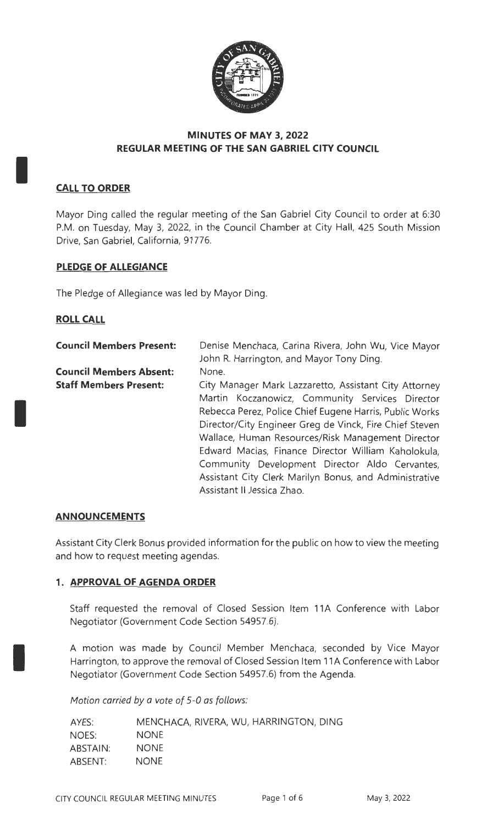

## **MINUTES OF MAY 3, 2022 REGULAR MEETING OF THE SAN GABRIEL CITY COUNCIL**

## **CALL TO ORDER**

I

I

I

Mayor Ding called the regular meeting of the San Gabriel City Council to order at 6:30 P.M. on Tuesday, May 3, 2022, in the Council Chamber at City Hall, 425 South Mission Drive, San Gabriel, California, 91776.

## **PLEDGE OF ALLEGIANCE**

The Pledge of Allegiance was led by Mayor Ding.

#### **ROLL CALL**

| <b>Council Members Present:</b> | Denise Menchaca, Carina Rivera, John Wu, Vice Mayor<br>John R. Harrington, and Mayor Tony Ding. |
|---------------------------------|-------------------------------------------------------------------------------------------------|
| <b>Council Members Absent:</b>  | None.                                                                                           |
| <b>Staff Members Present:</b>   | City Manager Mark Lazzaretto, Assistant City Attorney                                           |
|                                 | Martin Koczanowicz, Community Services Director                                                 |
|                                 | Rebecca Perez, Police Chief Eugene Harris, Public Works                                         |
|                                 | Director/City Engineer Greg de Vinck, Fire Chief Steven                                         |
|                                 | Wallace, Human Resources/Risk Management Director                                               |
|                                 | Edward Macias, Finance Director William Kaholokula,                                             |
|                                 | Community Development Director Aldo Cervantes,                                                  |
|                                 | Assistant City Clerk Marilyn Bonus, and Administrative                                          |
|                                 | Assistant II Jessica Zhao.                                                                      |

#### **ANNOUNCEMENTS**

Assistant City Clerk Bonus provided information for the public on how to view the meeting and how to request meeting agendas.

#### **1. APPROVAL OF AGENDA ORDER**

Staff requested the removal of Closed Session Item 11A Conference with Labor Negotiator (Government Code Section 54957.6).

A motion was made by Council Member Menchaca, seconded by Vice Mayor Harrington, to approve the removal of Closed Session Item 11A Conference with Labor Negotiator (Government Code Section 54957.6) from the Agenda.

Motion carried *by* a vote of 5-0 as follows:

| AYES:           | MENCHACA, RIVERA, WU, HARRINGTON, DING |
|-----------------|----------------------------------------|
| NOES:           | <b>NONE</b>                            |
| <b>ABSTAIN:</b> | <b>NONE</b>                            |
| ABSENT:         | <b>NONE</b>                            |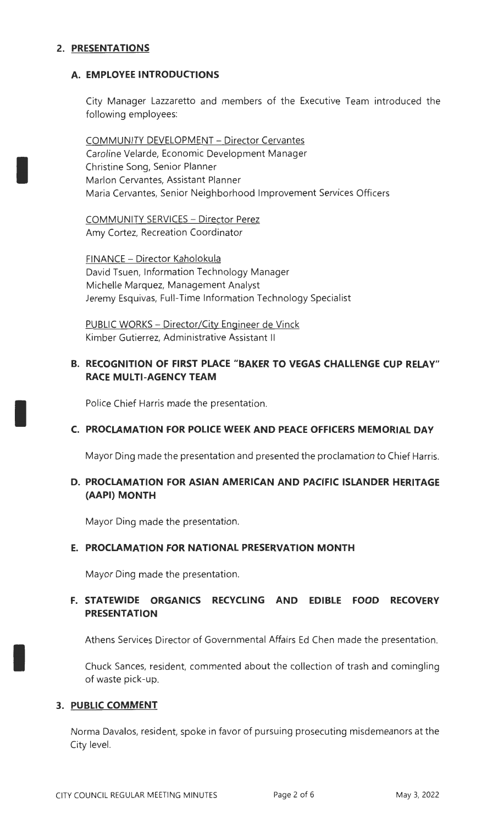## **2. PRESENTATIONS**

I

I

I

#### **A. EMPLOYEE INTRODUCTIONS**

City Manager Lazzaretto and members of the Executive Team introduced the following employees:

COMMUNITY DEVELOPMENT - Director Cervantes Caroline Velarde, Economic Development Manager Christine Song, Senior Planner Marlon Cervantes, Assistant Planner Maria Cervantes, Senior Neighborhood Improvement Services Officers

COMMUNITY SERVICES - Director Perez Amy Cortez, Recreation Coordinator

FINANCE - Director Kaholokula David Tsuen, Information Technology Manager Michelle Marquez, Management Analyst Jeremy Esquivas, Full-Time Information Technology Specialist

PUBLIC WORKS - Director/City Engineer de Vinck Kimber Gutierrez, Administrative Assistant II

## **B. RECOGNITION OF FIRST PLACE "BAKER TO VEGAS CHALLENGE CUP RELAY" RACE MULTI-AGENCY TEAM**

Police Chief Harris made the presentation.

## **C. PROCLAMATION FOR POLICE WEEK AND PEACE OFFICERS MEMORIAL DAY**

Mayor Ding made the presentation and presented the proclamation to Chief Harris.

## **D. PROCLAMATION FOR ASIAN AMERICAN AND PACIFIC ISLANDER HERITAGE (AAPI) MONTH**

Mayor Ding made the presentation.

#### **E. PROCLAMATION FOR NATIONAL PRESERVATION MONTH**

Mayor Ding made the presentation.

## **F. STATEWIDE ORGANICS RECYCLING AND EDIBLE FOOD RECOVERY PRESENTATION**

Athens Services Director of Governmental Affairs Ed Chen made the presentation.

Chuck Sances, resident, commented about the collection of trash and comingling of waste pick-up.

#### **3. PUBLIC COMMENT**

Norma Davalos, resident, spoke in favor of pursuing prosecuting misdemeanors at the City level.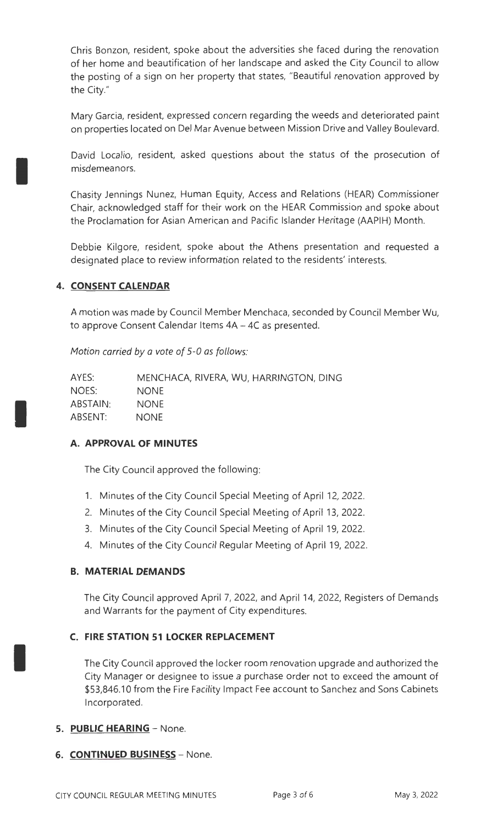Chris Bonzon, resident, spoke about the adversities she faced during the renovation of her home and beautification of her landscape and asked the City Council to allow the posting of a sign on her property that states, "Beautiful renovation approved by the City."

Mary Garcia, resident, expressed concern regarding the weeds and deteriorated paint on properties located on Del Mar Avenue between Mission Drive and Valley Boulevard.

David Localio, resident, asked questions about the status of the prosecution of misdemeanors.

Chasity Jennings Nunez, Human Equity, Access and Relations (HEAR) Commissioner Chair, acknowledged staff for their work on the HEAR Commission and spoke about the Proclamation for Asian American and Pacific Islander Heritage (AAPIH) Month.

Debbie Kilgore, resident, spoke about the Athens presentation and requested a designated place to review information related to the residents' interests.

## **4. CONSENT CALENDAR**

I

I

I

A motion was made by Council Member Menchaca, seconded by Council Member Wu, to approve Consent Calendar Items 4A - 4C as presented.

Motion carried *by* a vote of 5-0 as follows:

| AYES:    | MENCHACA, RIVERA, WU, HARRINGTON, DING |
|----------|----------------------------------------|
| NOES:    | <b>NONE</b>                            |
| ABSTAIN: | <b>NONE</b>                            |
| ABSENT:  | <b>NONE</b>                            |

#### **A. APPROVAL OF MINUTES**

The City Council approved the following:

- 1. Minutes of the City Council Special Meeting of April 12, 2022.
- 2. Minutes of the City Council Special Meeting of April 13, 2022.
- 3. Minutes of the City Council Special Meeting of April 19, 2022.
- 4. Minutes of the City Council Regular Meeting of April 19, 2022.

#### **B. MATERIAL DEMANDS**

The City Council approved April 7, 2022, and April 14, 2022, Registers of Demands and Warrants for the payment of City expenditures.

## **C. FIRE STATION 51 LOCKER REPLACEMENT**

The City Council approved the locker room renovation upgrade and authorized the City Manager or designee to issue a purchase order not to exceed the amount of \$53,846.10 from the Fire Facility Impact Fee account to Sanchez and Sons Cabinets Incorporated.

#### **5. PUBLIC HEARING** - None.

#### 6. **CONTINUED BUSINESS** - None.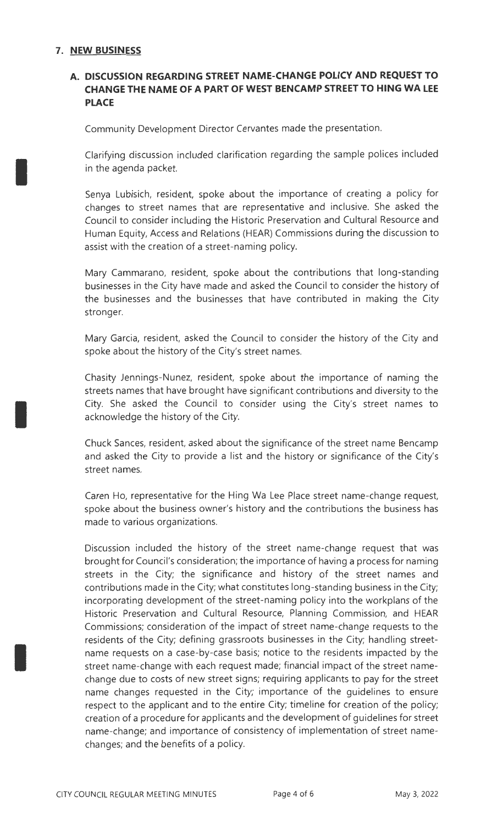## **7. NEW BUSINESS**

I

I

I

## **A. DISCUSSION REGARDING STREET NAME-CHANGE POLICY AND REQUEST TO CHANGE THE NAME OF A PART OF WEST BENCAMP STREET TO HING WA LEE PLACE**

Community Development Director Cervantes made the presentation.

Clarifying discussion included clarification regarding the sample polices included in the agenda packet.

Senya Lubisich, resident, spoke about the importance of creating a policy for changes to street names that are representative and inclusive. She asked the Council to consider including the Historic Preservation and Cultural Resource and Human Equity, Access and Relations (HEAR) Commissions during the discussion to assist with the creation of a street-naming policy.

Mary Cammarano, resident, spoke about the contributions that long-standing businesses in the City have made and asked the Council to consider the history of the businesses and the businesses that have contributed in making the City stronger.

Mary Garcia, resident, asked the Council to consider the history of the City and spoke about the history of the City's street names.

Chasity Jennings-Nunez, resident, spoke about the importance of naming the streets names that have brought have significant contributions and diversity to the City. She asked the Council to consider using the City's street names to acknowledge the history of the City.

Chuck Sances, resident, asked about the significance of the street name Bencamp and asked the City to provide a list and the history or significance of the City's street names.

Caren Ho, representative for the Hing Wa Lee Place street name-change request, spoke about the business owner's history and the contributions the business has made to various organizations.

Discussion included the history of the street name-change request that was brought for Council's consideration; the importance of having a process for naming streets in the City; the significance and history of the street names and contributions made in the City; what constitutes long-standing business in the City; incorporating development of the street-naming policy into the workplans of the Historic Preservation and Cultural Resource, Planning Commission, and HEAR Commissions; consideration of the impact of street name-change requests to the residents of the City; defining grassroots businesses in the City; handling streetname requests on a case-by-case basis; notice to the residents impacted by the street name-change with each request made; financial impact of the street namechange due to costs of new street signs; requiring applicants to pay for the street name changes requested in the City; importance of the guidelines to ensure respect to the applicant and to the entire City; timeline for creation of the policy; creation of a procedure for applicants and the development of guidelines for street name-change; and importance of consistency of implementation of street namechanges; and the benefits of a policy.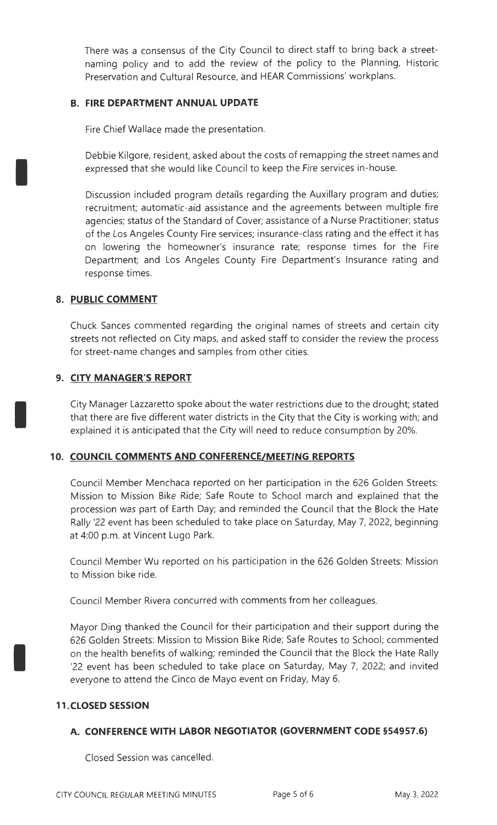There was a consensus of the City Council to direct staff to bring back a streetnaming policy and to add the review of the policy to the Planning, Historic Preservation and Cultural Resource, and HEAR Commissions' workplans.

### **B. FIRE DEPARTMENT ANNUAL UPDATE**

Fire Chief Wallace made the presentation.

Debbie Kilgore, resident, asked about the costs of remapping the street names and expressed that she would like Council to keep the Fire services in-house.

Discussion included program details regarding the Auxiliary program and duties; recruitment; automatic-aid assistance and the agreements between multiple fire agencies; status of the Standard of Cover; assistance of a Nurse Practitioner; status of the Los Angeles County Fire services; insurance-class rating and the effect it has on lowering the homeowner's insurance rate; response times for the Fire Department; and Los Angeles County Fire Department's Insurance rating and response times.

## **8. PUBLIC COMMENT**

I

I

I

Chuck Sances commented regarding the original names of streets and certain city streets not reflected on City maps, and asked staff to consider the review the process for street-name changes and samples from other cities.

## **9. CITY MANAGER'S REPORT**

City Manager Lazzaretto spoke about the water restrictions due to the drought; stated that there are five different water districts in the City that the City is working with; and explained it is anticipated that the City will need to reduce consumption by 20%.

## **10. COUNCIL COMMENTS AND CONFERENCE/ MEETING REPORTS**

Council Member Menchaca reported on her participation in the 626 Golden Streets: Mission to Mission Bike Ride; Safe Route to School march and explained that the procession was part of Earth Day; and reminded the Council that the Block the Hate Rally '22 event has been scheduled to take place on Saturday, May 7, 2022, beginning at 4:00 p.m. at Vincent Lugo Park.

Council Member Wu reported on his participation in the 626 Golden Streets: Mission to Mission bike ride.

Council Member Rivera concurred with comments from her colleagues.

Mayor Ding thanked the Council for their participation and their support during the 626 Golden Streets: Mission to Mission Bike Ride; Safe Routes to School; commented on the health benefits of walking; reminded the Council that the Block the Hate Rally '22 event has been scheduled to take place on Saturday, May 7, 2022; and invited everyone to attend the Cinco de Mayo event on Friday, May 6.

#### **11.CLOSED SESSION**

#### **A. CONFERENCE WITH LABOR NEGOTIATOR (GOVERNMENT CODE §54957.6)**

Closed Session was cancelled.